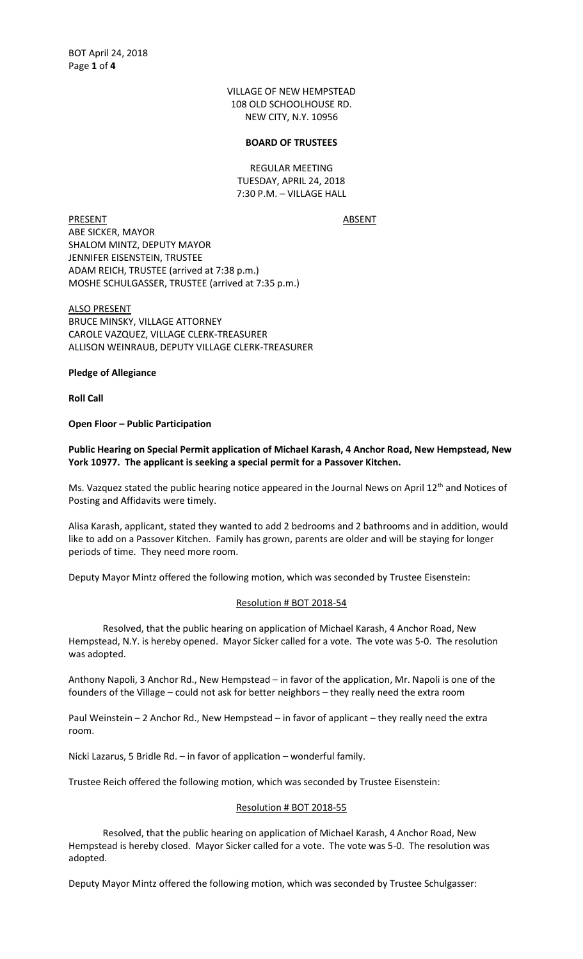VILLAGE OF NEW HEMPSTEAD 108 OLD SCHOOLHOUSE RD. NEW CITY, N.Y. 10956

#### **BOARD OF TRUSTEES**

REGULAR MEETING TUESDAY, APRIL 24, 2018 7:30 P.M. – VILLAGE HALL

PRESENT ABSENT ABE SICKER, MAYOR SHALOM MINTZ, DEPUTY MAYOR JENNIFER EISENSTEIN, TRUSTEE ADAM REICH, TRUSTEE (arrived at 7:38 p.m.) MOSHE SCHULGASSER, TRUSTEE (arrived at 7:35 p.m.)

ALSO PRESENT BRUCE MINSKY, VILLAGE ATTORNEY CAROLE VAZQUEZ, VILLAGE CLERK-TREASURER ALLISON WEINRAUB, DEPUTY VILLAGE CLERK-TREASURER

**Pledge of Allegiance**

**Roll Call**

**Open Floor – Public Participation**

**Public Hearing on Special Permit application of Michael Karash, 4 Anchor Road, New Hempstead, New York 10977. The applicant is seeking a special permit for a Passover Kitchen.**

Ms. Vazquez stated the public hearing notice appeared in the Journal News on April 12<sup>th</sup> and Notices of Posting and Affidavits were timely.

Alisa Karash, applicant, stated they wanted to add 2 bedrooms and 2 bathrooms and in addition, would like to add on a Passover Kitchen. Family has grown, parents are older and will be staying for longer periods of time. They need more room.

Deputy Mayor Mintz offered the following motion, which was seconded by Trustee Eisenstein:

#### Resolution # BOT 2018-54

Resolved, that the public hearing on application of Michael Karash, 4 Anchor Road, New Hempstead, N.Y. is hereby opened. Mayor Sicker called for a vote. The vote was 5-0. The resolution was adopted.

Anthony Napoli, 3 Anchor Rd., New Hempstead – in favor of the application, Mr. Napoli is one of the founders of the Village – could not ask for better neighbors – they really need the extra room

Paul Weinstein – 2 Anchor Rd., New Hempstead – in favor of applicant – they really need the extra room.

Nicki Lazarus, 5 Bridle Rd. – in favor of application – wonderful family.

Trustee Reich offered the following motion, which was seconded by Trustee Eisenstein:

#### Resolution # BOT 2018-55

Resolved, that the public hearing on application of Michael Karash, 4 Anchor Road, New Hempstead is hereby closed. Mayor Sicker called for a vote. The vote was 5-0. The resolution was adopted.

Deputy Mayor Mintz offered the following motion, which was seconded by Trustee Schulgasser: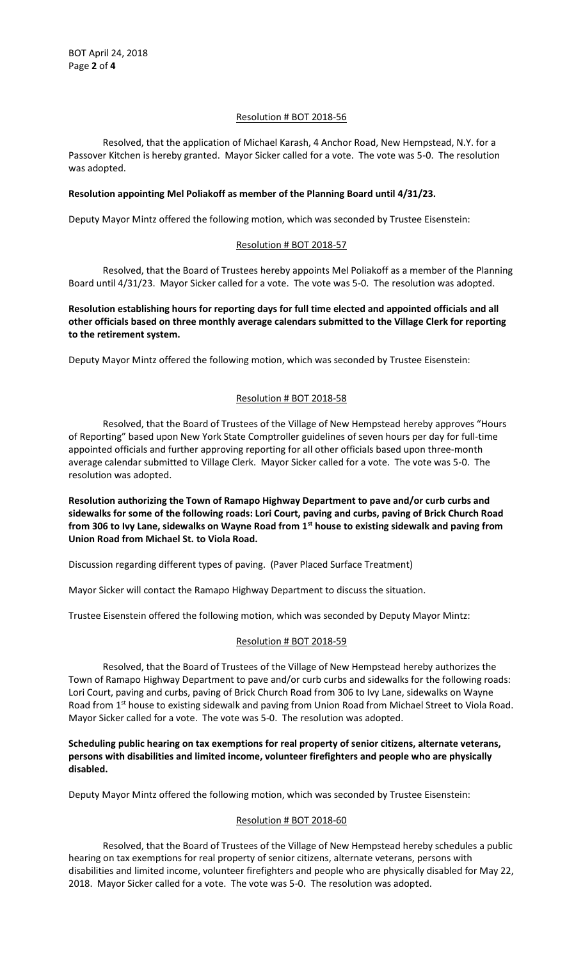## Resolution # BOT 2018-56

Resolved, that the application of Michael Karash, 4 Anchor Road, New Hempstead, N.Y. for a Passover Kitchen is hereby granted. Mayor Sicker called for a vote. The vote was 5-0. The resolution was adopted.

## **Resolution appointing Mel Poliakoff as member of the Planning Board until 4/31/23.**

Deputy Mayor Mintz offered the following motion, which was seconded by Trustee Eisenstein:

## Resolution # BOT 2018-57

Resolved, that the Board of Trustees hereby appoints Mel Poliakoff as a member of the Planning Board until 4/31/23. Mayor Sicker called for a vote. The vote was 5-0. The resolution was adopted.

**Resolution establishing hours for reporting days for full time elected and appointed officials and all other officials based on three monthly average calendars submitted to the Village Clerk for reporting to the retirement system.** 

Deputy Mayor Mintz offered the following motion, which was seconded by Trustee Eisenstein:

# Resolution # BOT 2018-58

Resolved, that the Board of Trustees of the Village of New Hempstead hereby approves "Hours of Reporting" based upon New York State Comptroller guidelines of seven hours per day for full-time appointed officials and further approving reporting for all other officials based upon three-month average calendar submitted to Village Clerk. Mayor Sicker called for a vote. The vote was 5-0. The resolution was adopted.

**Resolution authorizing the Town of Ramapo Highway Department to pave and/or curb curbs and sidewalks for some of the following roads: Lori Court, paving and curbs, paving of Brick Church Road from 306 to Ivy Lane, sidewalks on Wayne Road from 1st house to existing sidewalk and paving from Union Road from Michael St. to Viola Road.** 

Discussion regarding different types of paving. (Paver Placed Surface Treatment)

Mayor Sicker will contact the Ramapo Highway Department to discuss the situation.

Trustee Eisenstein offered the following motion, which was seconded by Deputy Mayor Mintz:

### Resolution # BOT 2018-59

Resolved, that the Board of Trustees of the Village of New Hempstead hereby authorizes the Town of Ramapo Highway Department to pave and/or curb curbs and sidewalks for the following roads: Lori Court, paving and curbs, paving of Brick Church Road from 306 to Ivy Lane, sidewalks on Wayne Road from 1<sup>st</sup> house to existing sidewalk and paving from Union Road from Michael Street to Viola Road. Mayor Sicker called for a vote. The vote was 5-0. The resolution was adopted.

**Scheduling public hearing on tax exemptions for real property of senior citizens, alternate veterans, persons with disabilities and limited income, volunteer firefighters and people who are physically disabled.** 

Deputy Mayor Mintz offered the following motion, which was seconded by Trustee Eisenstein:

### Resolution # BOT 2018-60

Resolved, that the Board of Trustees of the Village of New Hempstead hereby schedules a public hearing on tax exemptions for real property of senior citizens, alternate veterans, persons with disabilities and limited income, volunteer firefighters and people who are physically disabled for May 22, 2018. Mayor Sicker called for a vote. The vote was 5-0. The resolution was adopted.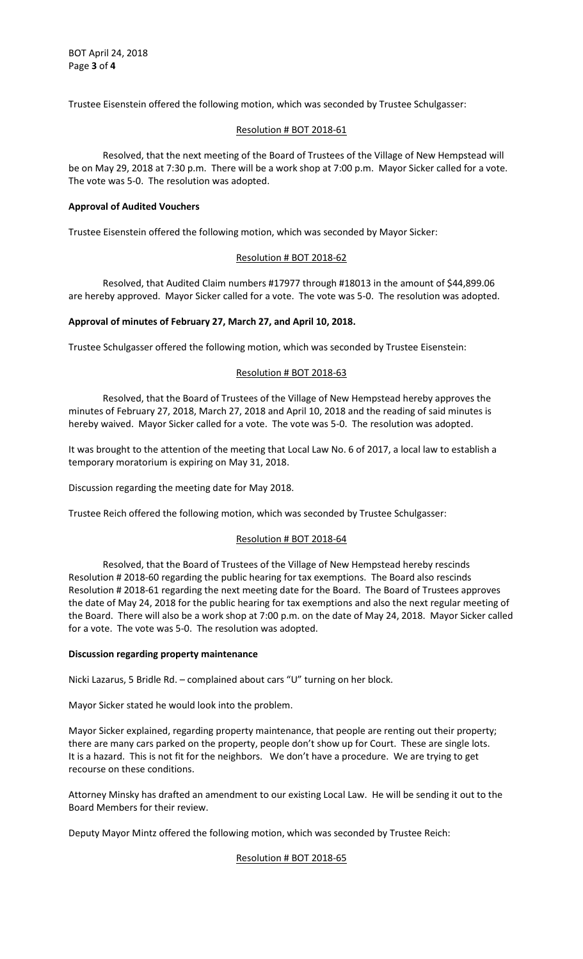Trustee Eisenstein offered the following motion, which was seconded by Trustee Schulgasser:

## Resolution # BOT 2018-61

Resolved, that the next meeting of the Board of Trustees of the Village of New Hempstead will be on May 29, 2018 at 7:30 p.m. There will be a work shop at 7:00 p.m. Mayor Sicker called for a vote. The vote was 5-0. The resolution was adopted.

## **Approval of Audited Vouchers**

Trustee Eisenstein offered the following motion, which was seconded by Mayor Sicker:

### Resolution # BOT 2018-62

Resolved, that Audited Claim numbers #17977 through #18013 in the amount of \$44,899.06 are hereby approved. Mayor Sicker called for a vote. The vote was 5-0. The resolution was adopted.

## **Approval of minutes of February 27, March 27, and April 10, 2018.**

Trustee Schulgasser offered the following motion, which was seconded by Trustee Eisenstein:

## Resolution # BOT 2018-63

Resolved, that the Board of Trustees of the Village of New Hempstead hereby approves the minutes of February 27, 2018, March 27, 2018 and April 10, 2018 and the reading of said minutes is hereby waived. Mayor Sicker called for a vote. The vote was 5-0. The resolution was adopted.

It was brought to the attention of the meeting that Local Law No. 6 of 2017, a local law to establish a temporary moratorium is expiring on May 31, 2018.

Discussion regarding the meeting date for May 2018.

Trustee Reich offered the following motion, which was seconded by Trustee Schulgasser:

### Resolution # BOT 2018-64

Resolved, that the Board of Trustees of the Village of New Hempstead hereby rescinds Resolution # 2018-60 regarding the public hearing for tax exemptions. The Board also rescinds Resolution # 2018-61 regarding the next meeting date for the Board. The Board of Trustees approves the date of May 24, 2018 for the public hearing for tax exemptions and also the next regular meeting of the Board. There will also be a work shop at 7:00 p.m. on the date of May 24, 2018. Mayor Sicker called for a vote. The vote was 5-0. The resolution was adopted.

### **Discussion regarding property maintenance**

Nicki Lazarus, 5 Bridle Rd. – complained about cars "U" turning on her block.

Mayor Sicker stated he would look into the problem.

Mayor Sicker explained, regarding property maintenance, that people are renting out their property; there are many cars parked on the property, people don't show up for Court. These are single lots. It is a hazard. This is not fit for the neighbors. We don't have a procedure. We are trying to get recourse on these conditions.

Attorney Minsky has drafted an amendment to our existing Local Law. He will be sending it out to the Board Members for their review.

Deputy Mayor Mintz offered the following motion, which was seconded by Trustee Reich:

Resolution # BOT 2018-65